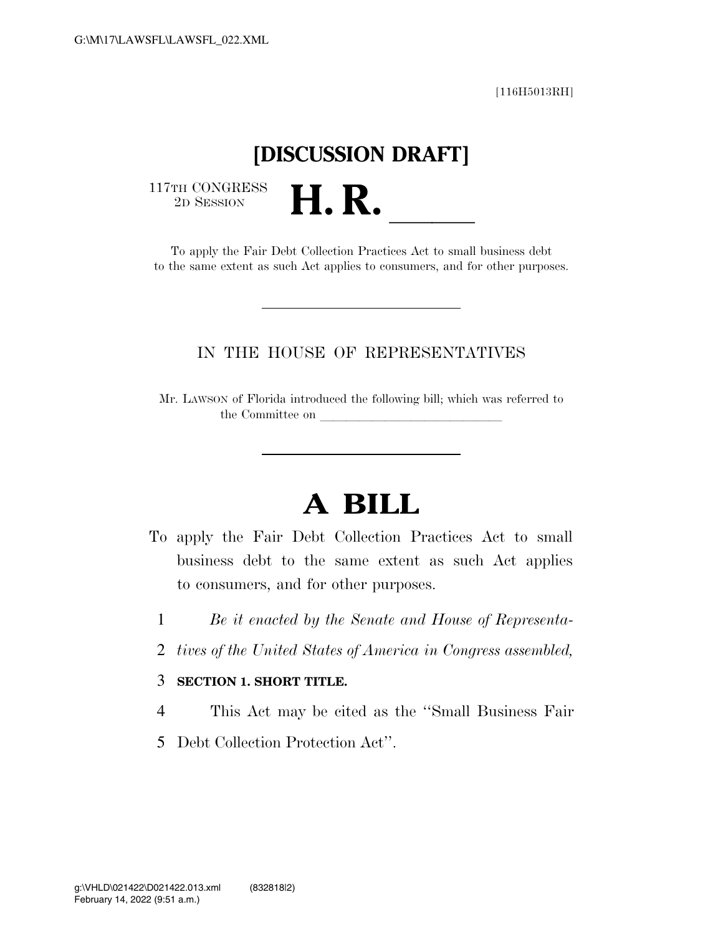[116H5013RH]

## **[DISCUSSION DRAFT]**

 $\begin{array}{c} \text{117TH CONGRESS} \\ \text{2D Session} \end{array}$ 

TH CONGRESS<br>
2D SESSION<br>
To apply the Fair Debt Collection Practices Act to small business debt to the same extent as such Act applies to consumers, and for other purposes.

### IN THE HOUSE OF REPRESENTATIVES

Mr. LAWSON of Florida introduced the following bill; which was referred to the Committee on

# **A BILL**

- To apply the Fair Debt Collection Practices Act to small business debt to the same extent as such Act applies to consumers, and for other purposes.
	- 1 *Be it enacted by the Senate and House of Representa-*
	- 2 *tives of the United States of America in Congress assembled,*

#### 3 **SECTION 1. SHORT TITLE.**

- 4 This Act may be cited as the ''Small Business Fair
- 5 Debt Collection Protection Act''.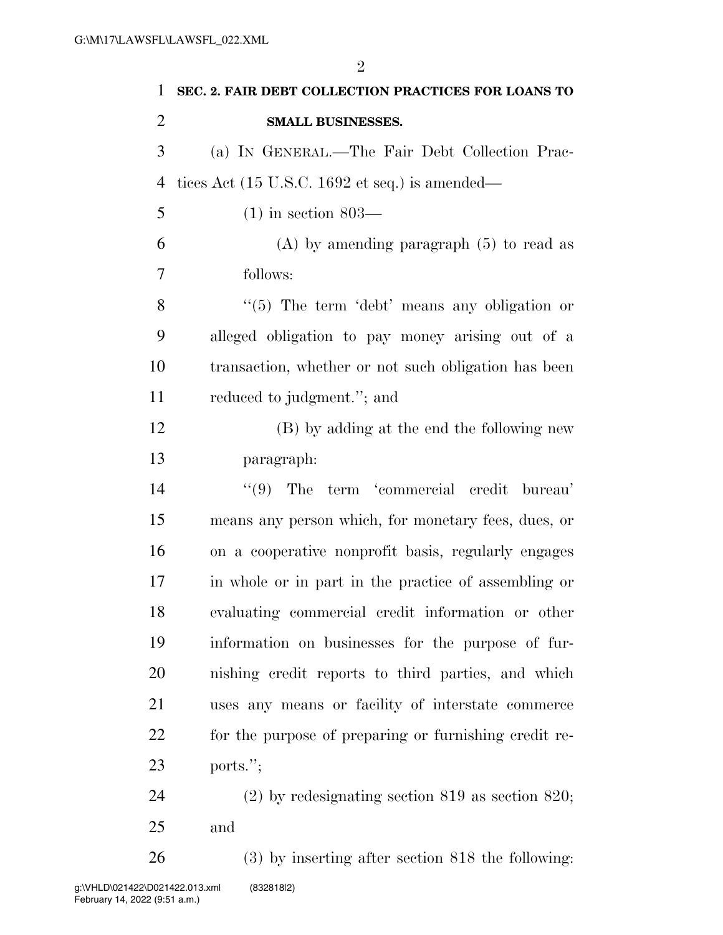**SEC. 2. FAIR DEBT COLLECTION PRACTICES FOR LOANS TO SMALL BUSINESSES.**  (a) IN GENERAL.—The Fair Debt Collection Prac- tices Act (15 U.S.C. 1692 et seq.) is amended— (1) in section 803— (A) by amending paragraph (5) to read as follows: 8 "(5) The term 'debt' means any obligation or alleged obligation to pay money arising out of a transaction, whether or not such obligation has been reduced to judgment.''; and (B) by adding at the end the following new paragraph: 14 ''(9) The term 'commercial credit bureau' means any person which, for monetary fees, dues, or on a cooperative nonprofit basis, regularly engages in whole or in part in the practice of assembling or evaluating commercial credit information or other information on businesses for the purpose of fur- nishing credit reports to third parties, and which uses any means or facility of interstate commerce for the purpose of preparing or furnishing credit re-ports.'';

 (2) by redesignating section 819 as section 820; and

 (3) by inserting after section 818 the following: g:\VHLD\021422\D021422.013.xml (832818|2)

 $\mathfrak{D}$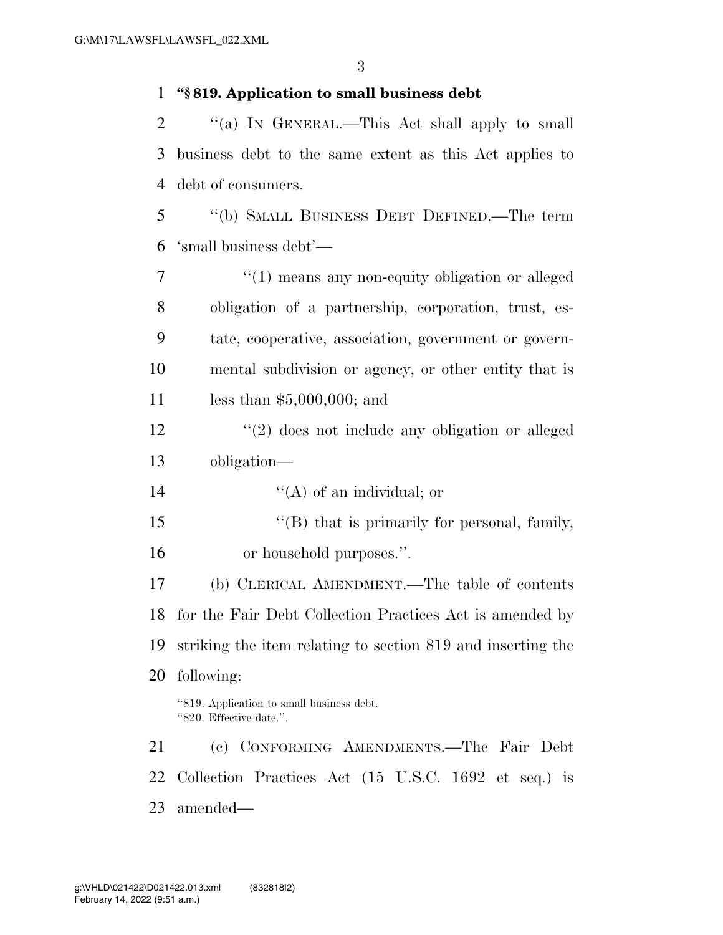### **''§ 819. Application to small business debt**

2 "(a) In GENERAL.—This Act shall apply to small business debt to the same extent as this Act applies to debt of consumers.

 ''(b) SMALL BUSINESS DEBT DEFINED.—The term 'small business debt'—

 $\frac{1}{1}$  means any non-equity obligation or alleged obligation of a partnership, corporation, trust, es- tate, cooperative, association, government or govern- mental subdivision or agency, or other entity that is less than \$5,000,000; and

 ''(2) does not include any obligation or alleged obligation—

14  $((A)$  of an individual; or

15 "'(B) that is primarily for personal, family, or household purposes.''.

 (b) CLERICAL AMENDMENT.—The table of contents for the Fair Debt Collection Practices Act is amended by striking the item relating to section 819 and inserting the following:

''819. Application to small business debt. ''820. Effective date.''.

 (c) CONFORMING AMENDMENTS.—The Fair Debt Collection Practices Act (15 U.S.C. 1692 et seq.) is amended